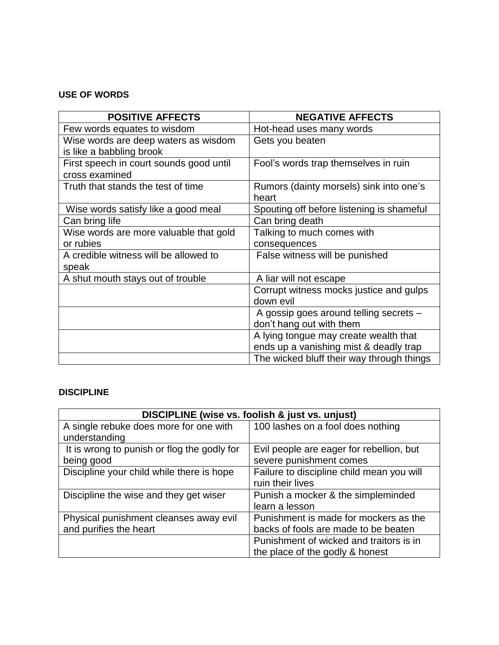#### **USE OF WORDS**

| <b>POSITIVE AFFECTS</b>                 | <b>NEGATIVE AFFECTS</b>                   |
|-----------------------------------------|-------------------------------------------|
| Few words equates to wisdom             | Hot-head uses many words                  |
| Wise words are deep waters as wisdom    | Gets you beaten                           |
| is like a babbling brook                |                                           |
| First speech in court sounds good until | Fool's words trap themselves in ruin      |
| cross examined                          |                                           |
| Truth that stands the test of time      | Rumors (dainty morsels) sink into one's   |
|                                         | heart                                     |
| Wise words satisfy like a good meal     | Spouting off before listening is shameful |
| Can bring life                          | Can bring death                           |
| Wise words are more valuable that gold  | Talking to much comes with                |
| or rubies                               | consequences                              |
| A credible witness will be allowed to   | False witness will be punished            |
| speak                                   |                                           |
| A shut mouth stays out of trouble       | A liar will not escape                    |
|                                         | Corrupt witness mocks justice and gulps   |
|                                         | down evil                                 |
|                                         | A gossip goes around telling secrets -    |
|                                         | don't hang out with them                  |
|                                         | A lying tongue may create wealth that     |
|                                         | ends up a vanishing mist & deadly trap    |
|                                         | The wicked bluff their way through things |

#### **DISCIPLINE**

| DISCIPLINE (wise vs. foolish & just vs. unjust) |                                           |
|-------------------------------------------------|-------------------------------------------|
| A single rebuke does more for one with          | 100 lashes on a fool does nothing         |
| understanding                                   |                                           |
| It is wrong to punish or flog the godly for     | Evil people are eager for rebellion, but  |
| being good                                      | severe punishment comes                   |
| Discipline your child while there is hope       | Failure to discipline child mean you will |
|                                                 | ruin their lives                          |
| Discipline the wise and they get wiser          | Punish a mocker & the simpleminded        |
|                                                 | learn a lesson                            |
| Physical punishment cleanses away evil          | Punishment is made for mockers as the     |
| and purifies the heart                          | backs of fools are made to be beaten      |
|                                                 | Punishment of wicked and traitors is in   |
|                                                 | the place of the godly & honest           |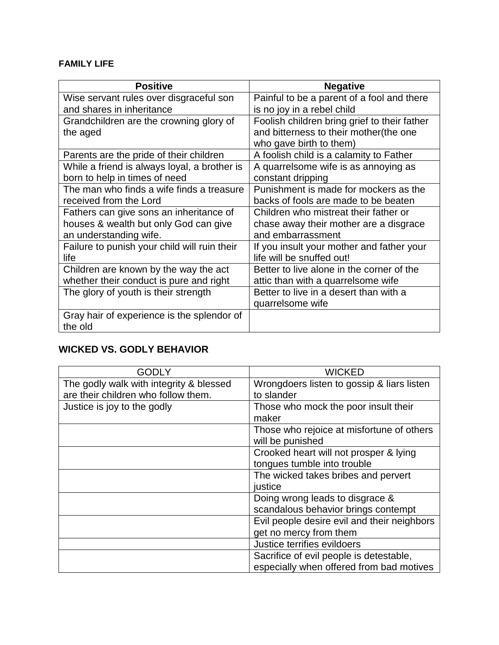#### **FAMILY LIFE**

| <b>Positive</b>                              | <b>Negative</b>                              |
|----------------------------------------------|----------------------------------------------|
| Wise servant rules over disgraceful son      | Painful to be a parent of a fool and there   |
| and shares in inheritance                    | is no joy in a rebel child                   |
| Grandchildren are the crowning glory of      | Foolish children bring grief to their father |
| the aged                                     | and bitterness to their mother(the one       |
|                                              | who gave birth to them)                      |
| Parents are the pride of their children      | A foolish child is a calamity to Father      |
| While a friend is always loyal, a brother is | A quarrelsome wife is as annoying as         |
| born to help in times of need                | constant dripping                            |
| The man who finds a wife finds a treasure    | Punishment is made for mockers as the        |
| received from the Lord                       | backs of fools are made to be beaten         |
| Fathers can give sons an inheritance of      | Children who mistreat their father or        |
| houses & wealth but only God can give        | chase away their mother are a disgrace       |
| an understanding wife.                       | and embarrassment                            |
| Failure to punish your child will ruin their | If you insult your mother and father your    |
| life                                         | life will be snuffed out!                    |
| Children are known by the way the act        | Better to live alone in the corner of the    |
| whether their conduct is pure and right      | attic than with a quarrelsome wife           |
| The glory of youth is their strength         | Better to live in a desert than with a       |
|                                              | quarrelsome wife                             |
| Gray hair of experience is the splendor of   |                                              |
| the old                                      |                                              |

## **WICKED VS. GODLY BEHAVIOR**

| GODLY                                   | <b>WICKED</b>                               |
|-----------------------------------------|---------------------------------------------|
| The godly walk with integrity & blessed | Wrongdoers listen to gossip & liars listen  |
| are their children who follow them.     | to slander                                  |
| Justice is joy to the godly             | Those who mock the poor insult their        |
|                                         | maker                                       |
|                                         | Those who rejoice at misfortune of others   |
|                                         | will be punished                            |
|                                         | Crooked heart will not prosper & lying      |
|                                         | tongues tumble into trouble                 |
|                                         | The wicked takes bribes and pervert         |
|                                         | justice                                     |
|                                         | Doing wrong leads to disgrace &             |
|                                         | scandalous behavior brings contempt         |
|                                         | Evil people desire evil and their neighbors |
|                                         | get no mercy from them                      |
|                                         | Justice terrifies evildoers                 |
|                                         | Sacrifice of evil people is detestable,     |
|                                         | especially when offered from bad motives    |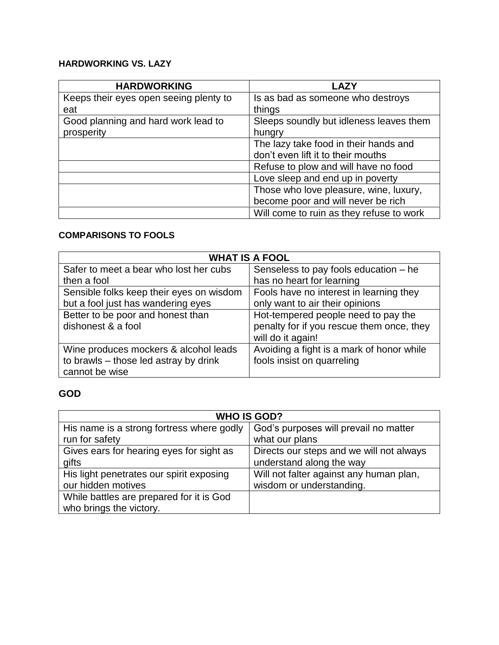### **HARDWORKING VS. LAZY**

| <b>HARDWORKING</b>                     | <b>LAZY</b>                              |
|----------------------------------------|------------------------------------------|
| Keeps their eyes open seeing plenty to | Is as bad as someone who destroys        |
| eat                                    | things                                   |
| Good planning and hard work lead to    | Sleeps soundly but idleness leaves them  |
| prosperity                             | hungry                                   |
|                                        | The lazy take food in their hands and    |
|                                        | don't even lift it to their mouths       |
|                                        | Refuse to plow and will have no food     |
|                                        | Love sleep and end up in poverty         |
|                                        | Those who love pleasure, wine, luxury,   |
|                                        | become poor and will never be rich       |
|                                        | Will come to ruin as they refuse to work |

### **COMPARISONS TO FOOLS**

| <b>WHAT IS A FOOL</b>                    |                                           |
|------------------------------------------|-------------------------------------------|
| Safer to meet a bear who lost her cubs   | Senseless to pay fools education – he     |
| then a fool                              | has no heart for learning                 |
| Sensible folks keep their eyes on wisdom | Fools have no interest in learning they   |
| but a fool just has wandering eyes       | only want to air their opinions           |
| Better to be poor and honest than        | Hot-tempered people need to pay the       |
| dishonest & a fool                       | penalty for if you rescue them once, they |
|                                          | will do it again!                         |
| Wine produces mockers & alcohol leads    | Avoiding a fight is a mark of honor while |
| to brawls – those led astray by drink    | fools insist on quarreling                |
| cannot be wise                           |                                           |

### **GOD**

| <b>WHO IS GOD?</b>                        |                                          |
|-------------------------------------------|------------------------------------------|
| His name is a strong fortress where godly | God's purposes will prevail no matter    |
| run for safety                            | what our plans                           |
| Gives ears for hearing eyes for sight as  | Directs our steps and we will not always |
| gifts                                     | understand along the way                 |
| His light penetrates our spirit exposing  | Will not falter against any human plan,  |
| our hidden motives                        | wisdom or understanding.                 |
| While battles are prepared for it is God  |                                          |
| who brings the victory.                   |                                          |